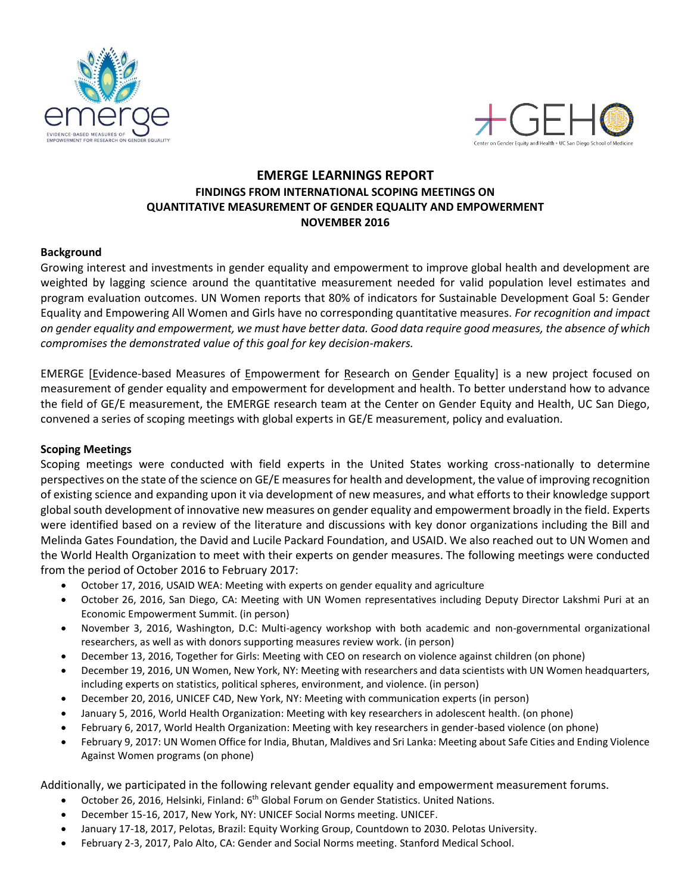



## **EMERGE LEARNINGS REPORT FINDINGS FROM INTERNATIONAL SCOPING MEETINGS ON QUANTITATIVE MEASUREMENT OF GENDER EQUALITY AND EMPOWERMENT NOVEMBER 2016**

#### **Background**

Growing interest and investments in gender equality and empowerment to improve global health and development are weighted by lagging science around the quantitative measurement needed for valid population level estimates and program evaluation outcomes. UN Women reports that 80% of indicators for Sustainable Development Goal 5: Gender Equality and Empowering All Women and Girls have no corresponding quantitative measures. *For recognition and impact on gender equality and empowerment, we must have better data. Good data require good measures, the absence of which compromises the demonstrated value of this goal for key decision-makers.*

EMERGE [Evidence-based Measures of Empowerment for Research on Gender Equality] is a new project focused on measurement of gender equality and empowerment for development and health. To better understand how to advance the field of GE/E measurement, the EMERGE research team at the Center on Gender Equity and Health, UC San Diego, convened a series of scoping meetings with global experts in GE/E measurement, policy and evaluation.

#### **Scoping Meetings**

Scoping meetings were conducted with field experts in the United States working cross-nationally to determine perspectives on the state of the science on GE/E measures for health and development, the value of improving recognition of existing science and expanding upon it via development of new measures, and what efforts to their knowledge support global south development of innovative new measures on gender equality and empowerment broadly in the field. Experts were identified based on a review of the literature and discussions with key donor organizations including the Bill and Melinda Gates Foundation, the David and Lucile Packard Foundation, and USAID. We also reached out to UN Women and the World Health Organization to meet with their experts on gender measures. The following meetings were conducted from the period of October 2016 to February 2017:

- October 17, 2016, USAID WEA: Meeting with experts on gender equality and agriculture
- October 26, 2016, San Diego, CA: Meeting with UN Women representatives including Deputy Director Lakshmi Puri at an Economic Empowerment Summit. (in person)
- November 3, 2016, Washington, D.C: Multi-agency workshop with both academic and non-governmental organizational researchers, as well as with donors supporting measures review work. (in person)
- December 13, 2016, Together for Girls: Meeting with CEO on research on violence against children (on phone)
- December 19, 2016, UN Women, New York, NY: Meeting with researchers and data scientists with UN Women headquarters, including experts on statistics, political spheres, environment, and violence. (in person)
- December 20, 2016, UNICEF C4D, New York, NY: Meeting with communication experts (in person)
- January 5, 2016, World Health Organization: Meeting with key researchers in adolescent health. (on phone)
- February 6, 2017, World Health Organization: Meeting with key researchers in gender-based violence (on phone)
- February 9, 2017: UN Women Office for India, Bhutan, Maldives and Sri Lanka: Meeting about Safe Cities and Ending Violence Against Women programs (on phone)

Additionally, we participated in the following relevant gender equality and empowerment measurement forums.

- October 26, 2016, Helsinki, Finland: 6<sup>th</sup> Global Forum on Gender Statistics. United Nations.
- December 15-16, 2017, New York, NY: UNICEF Social Norms meeting. UNICEF.
- January 17-18, 2017, Pelotas, Brazil: Equity Working Group, Countdown to 2030. Pelotas University.
- February 2-3, 2017, Palo Alto, CA: Gender and Social Norms meeting. Stanford Medical School.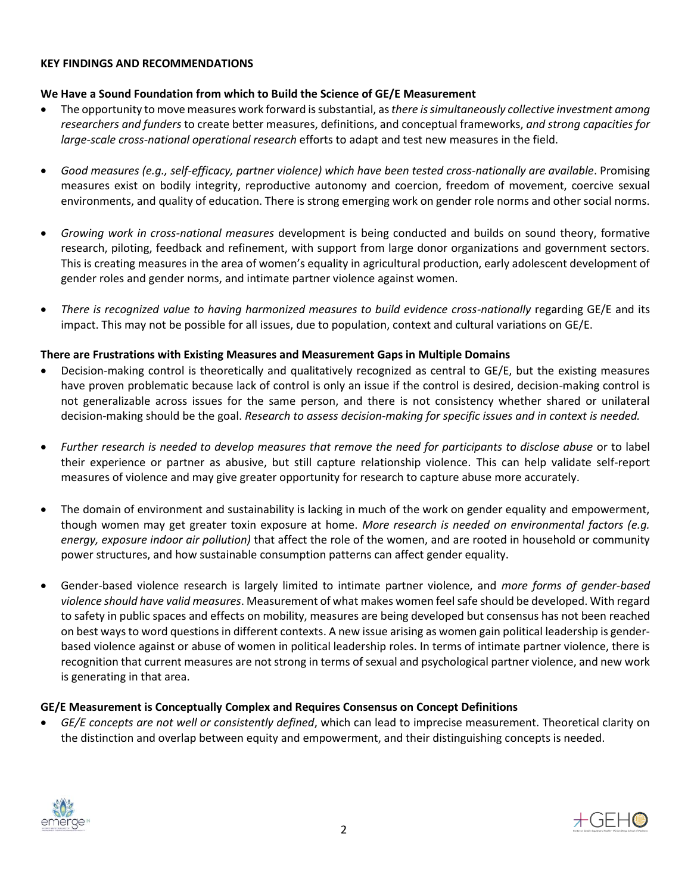#### **KEY FINDINGS AND RECOMMENDATIONS**

### **We Have a Sound Foundation from which to Build the Science of GE/E Measurement**

- The opportunity to move measures work forward is substantial, as *there is simultaneously collective investment among researchers and funders* to create better measures, definitions, and conceptual frameworks, *and strong capacities for large-scale cross-national operational research* efforts to adapt and test new measures in the field.
- *Good measures (e.g., self-efficacy, partner violence) which have been tested cross-nationally are available*. Promising measures exist on bodily integrity, reproductive autonomy and coercion, freedom of movement, coercive sexual environments, and quality of education. There is strong emerging work on gender role norms and other social norms.
- *Growing work in cross-national measures* development is being conducted and builds on sound theory, formative research, piloting, feedback and refinement, with support from large donor organizations and government sectors. This is creating measures in the area of women's equality in agricultural production, early adolescent development of gender roles and gender norms, and intimate partner violence against women.
- *There is recognized value to having harmonized measures to build evidence cross-nationally* regarding GE/E and its impact. This may not be possible for all issues, due to population, context and cultural variations on GE/E.

### **There are Frustrations with Existing Measures and Measurement Gaps in Multiple Domains**

- Decision-making control is theoretically and qualitatively recognized as central to GE/E, but the existing measures have proven problematic because lack of control is only an issue if the control is desired, decision-making control is not generalizable across issues for the same person, and there is not consistency whether shared or unilateral decision-making should be the goal. *Research to assess decision-making for specific issues and in context is needed.*
- *Further research is needed to develop measures that remove the need for participants to disclose abuse* or to label their experience or partner as abusive, but still capture relationship violence. This can help validate self-report measures of violence and may give greater opportunity for research to capture abuse more accurately.
- The domain of environment and sustainability is lacking in much of the work on gender equality and empowerment, though women may get greater toxin exposure at home. *More research is needed on environmental factors (e.g. energy, exposure indoor air pollution)* that affect the role of the women, and are rooted in household or community power structures, and how sustainable consumption patterns can affect gender equality.
- Gender-based violence research is largely limited to intimate partner violence, and *more forms of gender-based violence should have valid measures*. Measurement of what makes women feel safe should be developed. With regard to safety in public spaces and effects on mobility, measures are being developed but consensus has not been reached on best ways to word questions in different contexts. A new issue arising as women gain political leadership is genderbased violence against or abuse of women in political leadership roles. In terms of intimate partner violence, there is recognition that current measures are not strong in terms of sexual and psychological partner violence, and new work is generating in that area.

#### **GE/E Measurement is Conceptually Complex and Requires Consensus on Concept Definitions**

 *GE/E concepts are not well or consistently defined*, which can lead to imprecise measurement. Theoretical clarity on the distinction and overlap between equity and empowerment, and their distinguishing concepts is needed.



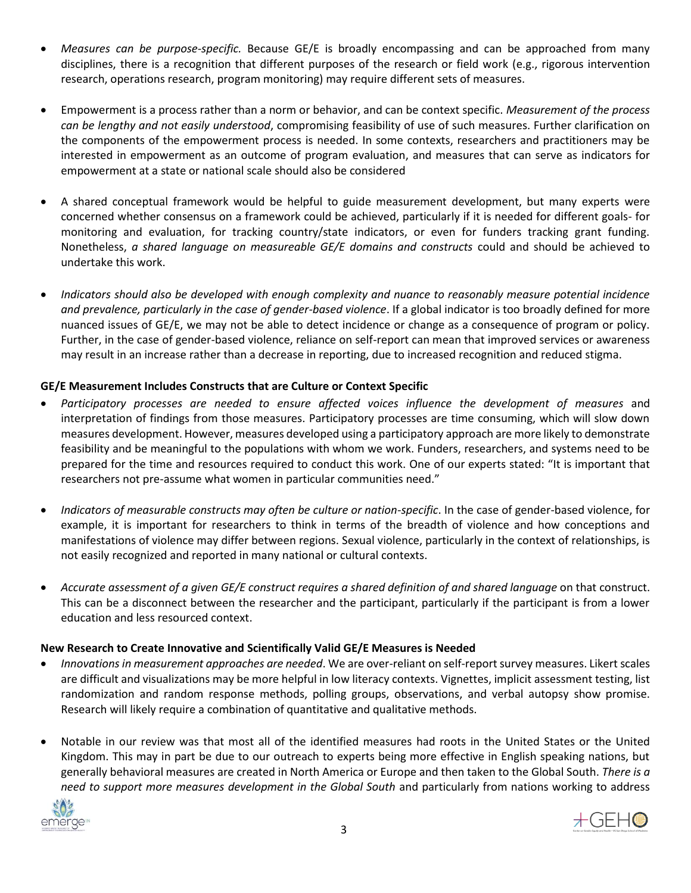- *Measures can be purpose-specific.* Because GE/E is broadly encompassing and can be approached from many disciplines, there is a recognition that different purposes of the research or field work (e.g., rigorous intervention research, operations research, program monitoring) may require different sets of measures.
- Empowerment is a process rather than a norm or behavior, and can be context specific. *Measurement of the process can be lengthy and not easily understood*, compromising feasibility of use of such measures. Further clarification on the components of the empowerment process is needed. In some contexts, researchers and practitioners may be interested in empowerment as an outcome of program evaluation, and measures that can serve as indicators for empowerment at a state or national scale should also be considered
- A shared conceptual framework would be helpful to guide measurement development, but many experts were concerned whether consensus on a framework could be achieved, particularly if it is needed for different goals- for monitoring and evaluation, for tracking country/state indicators, or even for funders tracking grant funding. Nonetheless, *a shared language on measureable GE/E domains and constructs* could and should be achieved to undertake this work.
- *Indicators should also be developed with enough complexity and nuance to reasonably measure potential incidence and prevalence, particularly in the case of gender-based violence*. If a global indicator is too broadly defined for more nuanced issues of GE/E, we may not be able to detect incidence or change as a consequence of program or policy. Further, in the case of gender-based violence, reliance on self-report can mean that improved services or awareness may result in an increase rather than a decrease in reporting, due to increased recognition and reduced stigma.

### **GE/E Measurement Includes Constructs that are Culture or Context Specific**

- *Participatory processes are needed to ensure affected voices influence the development of measures* and interpretation of findings from those measures. Participatory processes are time consuming, which will slow down measures development. However, measures developed using a participatory approach are more likely to demonstrate feasibility and be meaningful to the populations with whom we work. Funders, researchers, and systems need to be prepared for the time and resources required to conduct this work. One of our experts stated: "It is important that researchers not pre-assume what women in particular communities need."
- *Indicators of measurable constructs may often be culture or nation-specific*. In the case of gender-based violence, for example, it is important for researchers to think in terms of the breadth of violence and how conceptions and manifestations of violence may differ between regions. Sexual violence, particularly in the context of relationships, is not easily recognized and reported in many national or cultural contexts.
- *Accurate assessment of a given GE/E construct requires a shared definition of and shared language* on that construct. This can be a disconnect between the researcher and the participant, particularly if the participant is from a lower education and less resourced context.

### **New Research to Create Innovative and Scientifically Valid GE/E Measures is Needed**

- *Innovations in measurement approaches are needed*. We are over-reliant on self-report survey measures. Likert scales are difficult and visualizations may be more helpful in low literacy contexts. Vignettes, implicit assessment testing, list randomization and random response methods, polling groups, observations, and verbal autopsy show promise. Research will likely require a combination of quantitative and qualitative methods.
- Notable in our review was that most all of the identified measures had roots in the United States or the United Kingdom. This may in part be due to our outreach to experts being more effective in English speaking nations, but generally behavioral measures are created in North America or Europe and then taken to the Global South. *There is a need to support more measures development in the Global South* and particularly from nations working to address



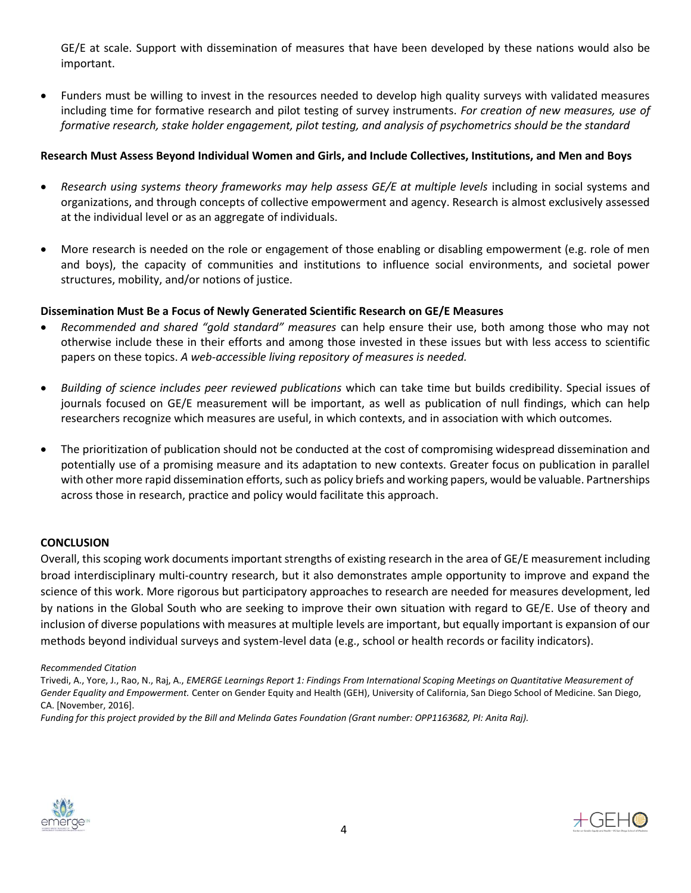GE/E at scale. Support with dissemination of measures that have been developed by these nations would also be important.

 Funders must be willing to invest in the resources needed to develop high quality surveys with validated measures including time for formative research and pilot testing of survey instruments. *For creation of new measures, use of formative research, stake holder engagement, pilot testing, and analysis of psychometrics should be the standard*

### **Research Must Assess Beyond Individual Women and Girls, and Include Collectives, Institutions, and Men and Boys**

- *Research using systems theory frameworks may help assess GE/E at multiple levels including in social systems and* organizations, and through concepts of collective empowerment and agency. Research is almost exclusively assessed at the individual level or as an aggregate of individuals.
- More research is needed on the role or engagement of those enabling or disabling empowerment (e.g. role of men and boys), the capacity of communities and institutions to influence social environments, and societal power structures, mobility, and/or notions of justice.

# **Dissemination Must Be a Focus of Newly Generated Scientific Research on GE/E Measures**

- *Recommended and shared "gold standard" measures* can help ensure their use, both among those who may not otherwise include these in their efforts and among those invested in these issues but with less access to scientific papers on these topics. *A web-accessible living repository of measures is needed.*
- *Building of science includes peer reviewed publications* which can take time but builds credibility. Special issues of journals focused on GE/E measurement will be important, as well as publication of null findings, which can help researchers recognize which measures are useful, in which contexts, and in association with which outcomes.
- The prioritization of publication should not be conducted at the cost of compromising widespread dissemination and potentially use of a promising measure and its adaptation to new contexts. Greater focus on publication in parallel with other more rapid dissemination efforts, such as policy briefs and working papers, would be valuable. Partnerships across those in research, practice and policy would facilitate this approach.

### **CONCLUSION**

Overall, this scoping work documents important strengths of existing research in the area of GE/E measurement including broad interdisciplinary multi-country research, but it also demonstrates ample opportunity to improve and expand the science of this work. More rigorous but participatory approaches to research are needed for measures development, led by nations in the Global South who are seeking to improve their own situation with regard to GE/E. Use of theory and inclusion of diverse populations with measures at multiple levels are important, but equally important is expansion of our methods beyond individual surveys and system-level data (e.g., school or health records or facility indicators).

#### *Recommended Citation*

Trivedi, A., Yore, J., Rao, N., Raj, A., *EMERGE Learnings Report 1: Findings From International Scoping Meetings on Quantitative Measurement of Gender Equality and Empowerment.* Center on Gender Equity and Health (GEH), University of California, San Diego School of Medicine. San Diego, CA. [November, 2016].

*Funding for this project provided by the Bill and Melinda Gates Foundation (Grant number: OPP1163682, PI: Anita Raj).*